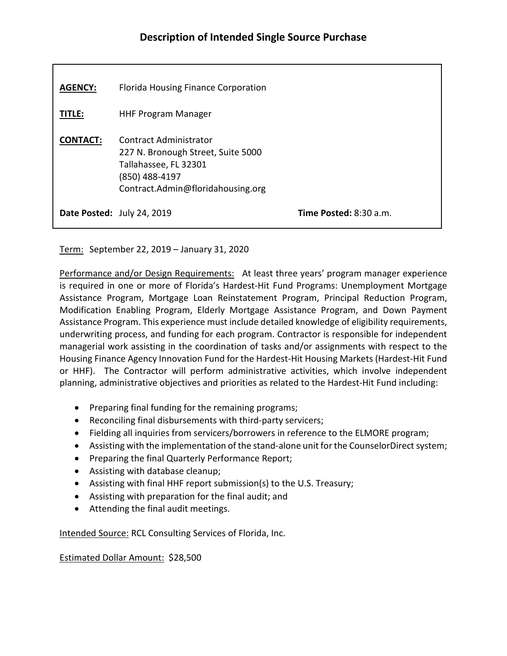| <b>AGENCY:</b>  | Florida Housing Finance Corporation                                                                                                                 |                               |
|-----------------|-----------------------------------------------------------------------------------------------------------------------------------------------------|-------------------------------|
| <b>TITLE:</b>   | <b>HHF Program Manager</b>                                                                                                                          |                               |
| <b>CONTACT:</b> | <b>Contract Administrator</b><br>227 N. Bronough Street, Suite 5000<br>Tallahassee, FL 32301<br>(850) 488-4197<br>Contract.Admin@floridahousing.org |                               |
|                 | Date Posted: July 24, 2019                                                                                                                          | <b>Time Posted: 8:30 a.m.</b> |

Term: September 22, 2019 – January 31, 2020

Performance and/or Design Requirements: At least three years' program manager experience is required in one or more of Florida's Hardest-Hit Fund Programs: Unemployment Mortgage Assistance Program, Mortgage Loan Reinstatement Program, Principal Reduction Program, Modification Enabling Program, Elderly Mortgage Assistance Program, and Down Payment Assistance Program. This experience must include detailed knowledge of eligibility requirements, underwriting process, and funding for each program. Contractor is responsible for independent managerial work assisting in the coordination of tasks and/or assignments with respect to the Housing Finance Agency Innovation Fund for the Hardest-Hit Housing Markets (Hardest-Hit Fund or HHF). The Contractor will perform administrative activities, which involve independent planning, administrative objectives and priorities as related to the Hardest-Hit Fund including:

- Preparing final funding for the remaining programs;
- Reconciling final disbursements with third-party servicers;
- Fielding all inquiries from servicers/borrowers in reference to the ELMORE program;
- Assisting with the implementation of the stand-alone unit for the CounselorDirect system;
- Preparing the final Quarterly Performance Report;
- Assisting with database cleanup;
- Assisting with final HHF report submission(s) to the U.S. Treasury;
- Assisting with preparation for the final audit; and
- Attending the final audit meetings.

Intended Source: RCL Consulting Services of Florida, Inc.

Estimated Dollar Amount: \$28,500